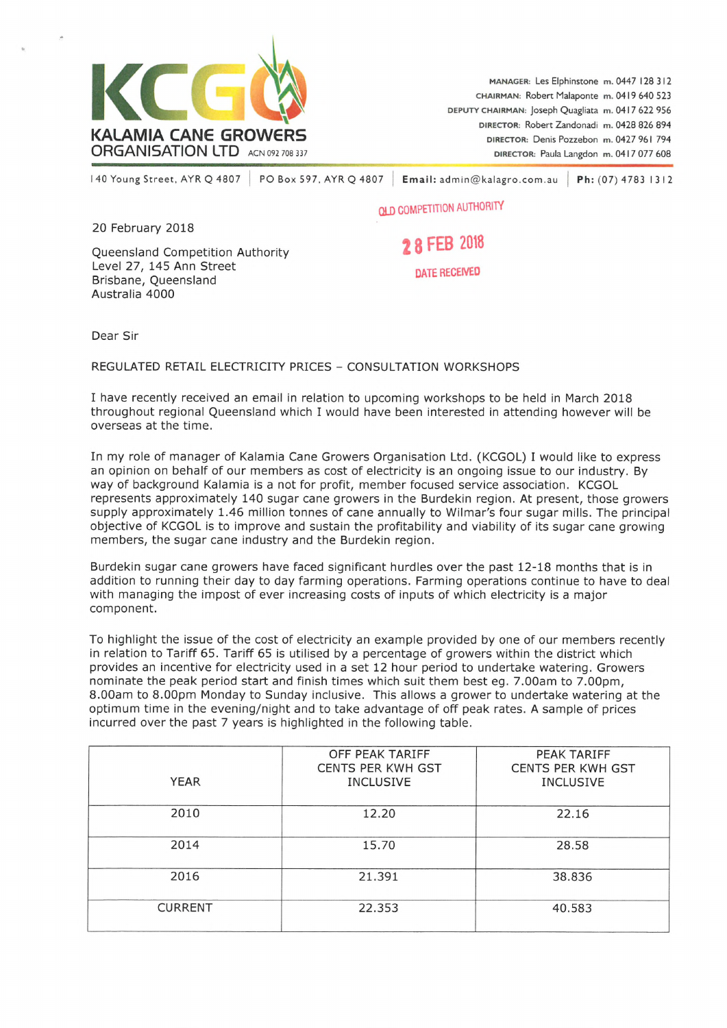

<sup>I</sup> 40 Young Street, AYR Q 4807 PO Box 597. AYR Q 4807 Email: admin@kalagro,com.au Ph: (07) 4783 1312

**OLD COMPETITION AUTHORITY**

20 February 2018

Queensland Competition Authority Level 27, 145 Ann Street Brisbane, Queensland Australia 4000

*1*<sup>8</sup> FEB <sup>2018</sup>

DATE RECEIVED

Dear Sir

REGULATED RETAIL ELECTRICITY PRICES - CONSULTATION WORKSHOPS

I have recently received an email in relation to upcoming workshops to be held in March 2018 throughout regional Queensland which I would have been interested in attending however will be overseas at the time.

In my role of manager of Kalamia Cane Growers Organisation Ltd. (KCGOL) I would like to express an opinion on behalf of our members as cost of electricity is an ongoing issue to our industry. By way of background Kalamia is a not for profit, member focused service association. KCGOL represents approximately 140 sugar cane growers in the Burdekin region. At present, those growers supply approximately 1.46 million tonnes of cane annually to Wilmar's four sugar mills. The principal objective of KCGOL is to improve and sustain the profitability and viability of its sugar cane growing members, the sugar cane industry and the Burdekin region.

Burdekin sugar cane growers have faced significant hurdles over the past 12-18 months that is in addition to running their day to day farming operations. Farming operations continue to have to deal with managing the impost of ever increasing costs of inputs of which electricity is a major component.

To highlight the issue of the cost of electricity an example provided by one of our members recently in relation to Tariff 65. Tariff 65 is utilised by a percentage of growers within the district which provides an incentive for electricity used in a set 12 hour period to undertake watering. Growers nominate the peak period start and finish times which suit them best eg. 7.00am to 7.00pm, 8.00am to 8.00pm Monday to Sunday inclusive. This allows a grower to undertake watering at the optimum time in the evening/night and to take advantage of off peak rates. A sample of prices incurred over the past 7 years is highlighted in the following table.

| <b>YEAR</b>    | OFF PEAK TARIFF<br><b>CENTS PER KWH GST</b><br><b>INCLUSIVE</b> | PEAK TARIFF<br><b>CENTS PER KWH GST</b><br><b>INCLUSIVE</b> |
|----------------|-----------------------------------------------------------------|-------------------------------------------------------------|
| 2010           | 12.20                                                           | 22.16                                                       |
| 2014           | 15.70                                                           | 28.58                                                       |
| 2016           | 21.391                                                          | 38.836                                                      |
| <b>CURRENT</b> | 22.353                                                          | 40.583                                                      |